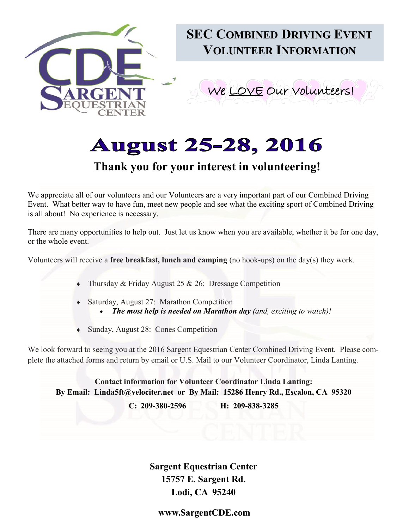

# **August 25-28, 2016**

## **Thank you for your interest in volunteering!**

We appreciate all of our volunteers and our Volunteers are a very important part of our Combined Driving Event. What better way to have fun, meet new people and see what the exciting sport of Combined Driving is all about! No experience is necessary.

There are many opportunities to help out. Just let us know when you are available, whether it be for one day, or the whole event.

Volunteers will receive a **free breakfast, lunch and camping** (no hook-ups) on the day(s) they work.

- Thursday & Friday August 25 & 26: Dressage Competition
- Saturday, August 27: Marathon Competition
	- *The most help is needed on Marathon day (and, exciting to watch)!*
- Sunday, August 28: Cones Competition

We look forward to seeing you at the 2016 Sargent Equestrian Center Combined Driving Event. Please complete the attached forms and return by email or U.S. Mail to our Volunteer Coordinator, Linda Lanting.

**Contact information for Volunteer Coordinator Linda Lanting: By Email: Linda5ft@velociter.net or By Mail: 15286 Henry Rd., Escalon, CA 95320**

**C: 209-380-2596 H: 209-838-3285**

**Sargent Equestrian Center 15757 E. Sargent Rd. Lodi, CA 95240**

**www.SargentCDE.com**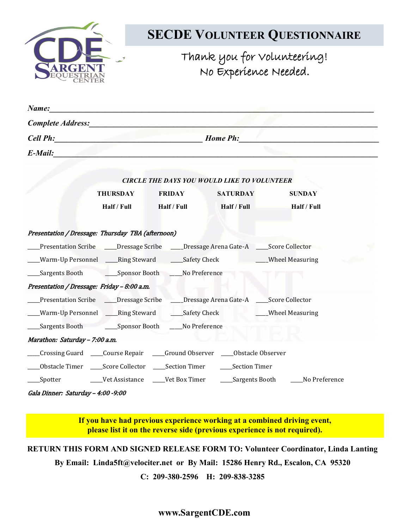

## **SECDE VOLUNTEER QUESTIONNAIRE**

Thank you for Volunteering! No Experience Needed.

| Name: Names                                                                                                                                                                                                                                                                                                                                                                           |                                                                                                                                           |               |                                                    |                                                                               |  |
|---------------------------------------------------------------------------------------------------------------------------------------------------------------------------------------------------------------------------------------------------------------------------------------------------------------------------------------------------------------------------------------|-------------------------------------------------------------------------------------------------------------------------------------------|---------------|----------------------------------------------------|-------------------------------------------------------------------------------|--|
| Complete Address: Complete Address:                                                                                                                                                                                                                                                                                                                                                   |                                                                                                                                           |               |                                                    |                                                                               |  |
|                                                                                                                                                                                                                                                                                                                                                                                       | Cell Ph: Home Ph:<br><u> 1989 - Jan James James Jan James James Jan James James James James James James James James James James James</u> |               |                                                    |                                                                               |  |
| E-Mail:                                                                                                                                                                                                                                                                                                                                                                               |                                                                                                                                           |               |                                                    |                                                                               |  |
|                                                                                                                                                                                                                                                                                                                                                                                       |                                                                                                                                           |               | <b>CIRCLE THE DAYS YOU WOULD LIKE TO VOLUNTEER</b> |                                                                               |  |
|                                                                                                                                                                                                                                                                                                                                                                                       | <b>THURSDAY</b>                                                                                                                           | <b>FRIDAY</b> | <b>SATURDAY</b>                                    | <b>SUNDAY</b>                                                                 |  |
|                                                                                                                                                                                                                                                                                                                                                                                       | Half / Full                                                                                                                               | Half / Full   | Half / Full                                        | Half / Full                                                                   |  |
| Presentation / Dressage: Thursday TBA (afternoon)                                                                                                                                                                                                                                                                                                                                     |                                                                                                                                           |               |                                                    |                                                                               |  |
|                                                                                                                                                                                                                                                                                                                                                                                       |                                                                                                                                           |               |                                                    | Presentation Scribe Corressage Scribe Corressage Arena Gate-A Corre Collector |  |
|                                                                                                                                                                                                                                                                                                                                                                                       | Warm-Up Personnel _____Ring Steward ______Safety Check ____________Wheel Measuring                                                        |               |                                                    |                                                                               |  |
|                                                                                                                                                                                                                                                                                                                                                                                       |                                                                                                                                           |               |                                                    |                                                                               |  |
| Presentation / Dressage: Friday - 8:00 a.m.                                                                                                                                                                                                                                                                                                                                           |                                                                                                                                           |               |                                                    |                                                                               |  |
|                                                                                                                                                                                                                                                                                                                                                                                       | Presentation Scribe ____Dressage Scribe ____Dressage Arena Gate-A ____Score Collector                                                     |               |                                                    |                                                                               |  |
|                                                                                                                                                                                                                                                                                                                                                                                       | __Warm-Up Personnel ____Ring Steward _____Safety Check ___________Wheel Measuring                                                         |               |                                                    |                                                                               |  |
|                                                                                                                                                                                                                                                                                                                                                                                       |                                                                                                                                           |               |                                                    |                                                                               |  |
| Marathon: Saturday - 7:00 a.m.                                                                                                                                                                                                                                                                                                                                                        |                                                                                                                                           |               |                                                    |                                                                               |  |
| Crossing Guard ____Course Repair ____Ground Observer ____Obstacle Observer                                                                                                                                                                                                                                                                                                            |                                                                                                                                           |               |                                                    |                                                                               |  |
|                                                                                                                                                                                                                                                                                                                                                                                       |                                                                                                                                           |               |                                                    |                                                                               |  |
|                                                                                                                                                                                                                                                                                                                                                                                       |                                                                                                                                           |               |                                                    |                                                                               |  |
| $\overline{a}$ , $\overline{a}$ , $\overline{a}$ , $\overline{a}$ , $\overline{a}$ , $\overline{a}$ , $\overline{a}$ , $\overline{a}$ , $\overline{a}$ , $\overline{a}$ , $\overline{a}$ , $\overline{a}$ , $\overline{a}$ , $\overline{a}$ , $\overline{a}$ , $\overline{a}$ , $\overline{a}$ , $\overline{a}$ , $\overline{a}$ , $\overline{a}$ , $\overline{a}$ , $\overline{a}$ , |                                                                                                                                           |               |                                                    |                                                                               |  |

Gala Dinner: Saturday – 4:00 -9:00

**If you have had previous experience working at a combined driving event, please list it on the reverse side (previous experience is not required).** 

**RETURN THIS FORM AND SIGNED RELEASE FORM TO: Volunteer Coordinator, Linda Lanting** 

**By Email: Linda5ft@velociter.net or By Mail: 15286 Henry Rd., Escalon, CA 95320**

**C: 209-380-2596 H: 209-838-3285**